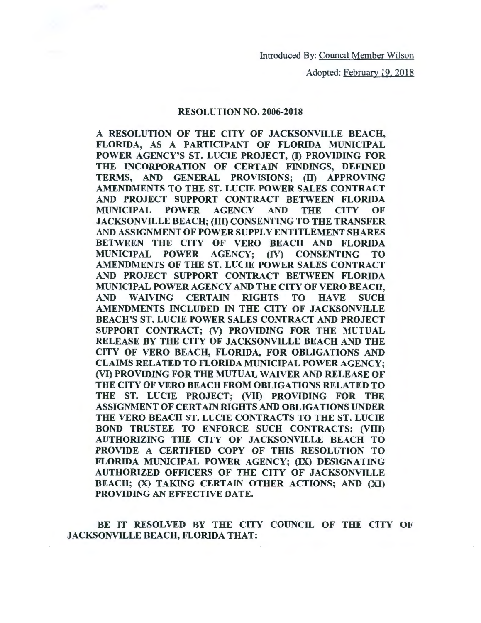Introduced By: Council Member Wilson

Adopted: February 19, 2018

## RESOLUTION NO. 2006-2018

A RESOLUTION OF THE CITY OF JACKSONVILLE BEACH, FLORIDA, AS A PARTICIPANT OF FLORIDA MUNICIPAL POWER AGENCY'S ST. LUCIE PROJECT, (I) PROVIDING FOR THE INCORPORATION OF CERTAIN FINDINGS, DEFINED TERMS, AND GENERAL PROVISIONS; (II) APPROVING AMENDMENTS TO THE ST. LUCIE POWER SALES CONTRACT AND PROJECT SUPPORT CONTRACT BETWEEN FLORIDA MUNICIPAL POWER AGENCY AND THE CITY OF JACKSONVILLE BEACH; (III) CONSENTING TO THE TRANSFER AND ASSIGNMENT OF POWER SUPPLY ENTITLEMENT SHARES BETWEEN THE CITY OF VERO BEACH AND FLORIDA MUNICIPAL POWER AGENCY; (IV) CONSENTING TO AMENDMENTS OF THE ST. LUCIE POWER SALES CONTRACT AND PROJECT SUPPORT CONTRACT BETWEEN FLORIDA MUNICIPAL POWER AGENCY AND THE CITY OF VERO BEACH, AND WAIVING CERTAIN RIGHTS TO HAVE SUCH AMENDMENTS INCLUDED IN THE CITY OF JACKSONVILLE BEACH'S ST. LUCIE POWER SALES CONTRACT AND PROJECT SUPPORT CONTRACT; (V) PROVIDING FOR THE MUTUAL RELEASE BY THE CITY OF JACKSONVILLE BEACH AND THE CITY OF VERO BEACH, FLORIDA, FOR OBLIGATIONS AND CLAIMS RELATED TO FLORIDA MUNICIPAL POWER AGENCY; (VI) PROVIDING FOR THE MUTUAL WAIVER AND RELEASE OF THE CITY OF VERO BEACH FROM OBLIGATIONS RELATED TO THE ST. LUCIE PROJECT; (VII) PROVIDING FOR THE ASSIGNMENT OF CERTAIN RIGHTS AND OBLIGATIONS UNDER THE VERO BEACH ST. LUCIE CONTRACTS TO THE ST. LUCIE BOND TRUSTEE TO ENFORCE SUCH CONTRACTS; (VIII) AUTHORIZING THE CITY OF JACKSONVILLE BEACH TO PROVIDE A CERTIFIED COPY OF THIS RESOLUTION TO FLORIDA MUNICIPAL POWER AGENCY; (IX) DESIGNATING AUTHORIZED OFFICERS OF THE CITY OF JACKSONVILLE BEACH; (X) TAKING CERTAIN OTHER ACTIONS; AND (XI) PROVIDING AN EFFECTIVE DATE.

BE IT RESOLVED BY THE CITY COUNCIL OF THE CITY OF JACKSONVILLE BEACH, FLORIDA THAT: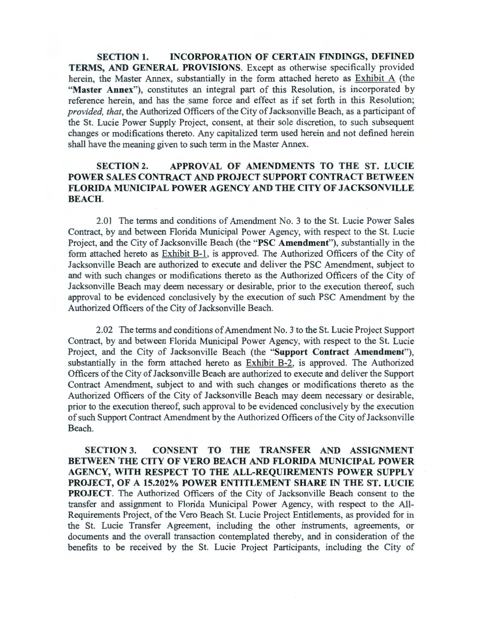**SECTION 1. INCORPORATION OF CERTAIN FINDINGS, DEFINED TERMS, AND GENERAL PROVISIONS.** Except as otherwise specifically provided herein, the Master Annex, substantially in the form attached hereto as Exhibit A (the **"Master Annex"),** constitutes an integral part of this Resolution, is incorporated by reference herein, and has the same force and effect as if set forth in this Resolution; *provided, that,* the Authorized Officers of the City of Jacksonville Beach, as a participant of the St. Lucie Power Supply Project, consent, at their sole discretion, to such subsequent changes or modifications thereto. Any capitalized term used herein and not defined herein shall have the meaning given to such term in the Master Annex.

## **SECTION 2. APPROVAL OF AMENDMENTS TO THE ST. LUCIE POWER SALES CONTRACT AND PROJECT SUPPORT CONTRACT BETWEEN FLORIDA MUNICIPAL POWER AGENCY AND THE CITY OF JACKSONVILLE BEACH.**

2.01 The terms and conditions of Amendment No. 3 to the St. Lucie Power Sales Contract, by and between Florida Municipal Power Agency, with respect to the St. Lucie Project, and the City of Jacksonville Beach (the **"PSC Amendment"),** substantially in the form attached hereto as Exhibit B-1, is approved. The Authorized Officers of the City of Jacksonville Beach are authorized to execute and deliver the PSC Amendment, subject to and with such changes or modifications thereto as the Authorized Officers of the City of Jacksonville Beach may deem necessary or desirable, prior to the execution thereof, such approval to be evidenced conclusively by the execution of such PSC Amendment by the Authorized Officers of the City of Jacksonville Beach.

2.02 The terms and conditions of Amendment No. 3 to the St. Lucie Project Support Contract, by and between Florida Municipal Power Agency, with respect to the St. Lucie Project, and the City of Jacksonville Beach (the **"Support Contract Amendment"),**  substantially in the form attached hereto as Exhibit B-2, is approved. The Authorized Officers of the City of Jacksonville Beach are authorized to execute and deliver the Support Contract Amendment, subject to and with such changes or modifications thereto as the Authorized Officers of the City of Jacksonville Beach may deem necessary or desirable, prior to the execution thereof, such approval to be evidenced conclusively by the execution of such Support Contract Amendment by the Authorized Officers of the City of Jacksonville Beach.

**SECTION 3. CONSENT TO THE TRANSFER AND ASSIGNMENT BETWEEN THE CITY OF VERO BEACH AND FLORIDA MUNICIPAL POWER AGENCY, WITH RESPECT TO THE ALL-REQUIREMENTS POWER SUPPLY PROJECT, OF A 15.202% POWER ENTITLEMENT SHARE IN THE ST. LUCIE PROJECT.** The Authorized Officers of the City of Jacksonville Beach consent to the transfer and assignment to Florida Municipal Power Agency, with respect to the All-Requirements Project, of the Vero Beach St. Lucie Project Entitlements, as provided for in the St. Lucie Transfer Agreement, including the other instruments, agreements, or documents and the overall transaction contemplated thereby, and in consideration of the benefits to be received by the St. Lucie Project Participants, including the City of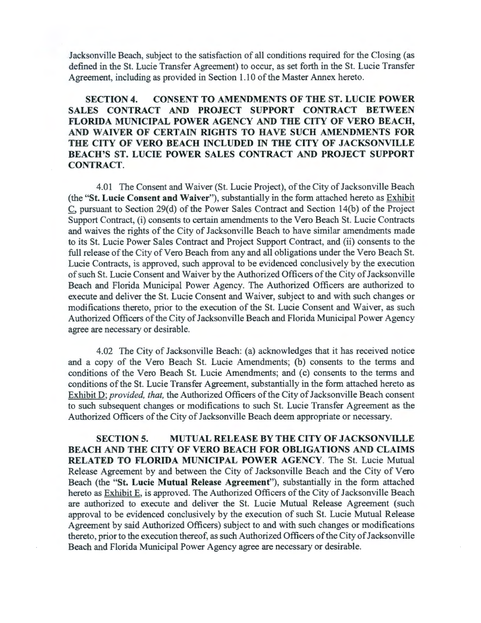Jacksonville Beach, subject to the satisfaction of all conditions required for the Closing (as defined in the St. Lucie Transfer Agreement) to occur, as set forth in the St. Lucie Transfer Agreement, including as provided in Section 1.10 of the Master Annex hereto.

## **SECTION 4. CONSENT TO AMENDMENTS OF THE ST. LUCIE POWER SALES CONTRACT AND PROJECT SUPPORT CONTRACT BETWEEN FLORIDA MUNICIPAL POWER AGENCY AND THE CITY OF VERO BEACH, AND WAIVER OF CERTAIN RIGHTS TO HA VE SUCH AMENDMENTS FOR THE CITY OF VERO BEACH INCLUDED IN THE CITY OF JACKSONVILLE BEACH'S ST. LUCIE POWER SALES CONTRACT AND PROJECT SUPPORT CONTRACT.**

4.01 The Consent and Waiver (St. Lucie Project), of the City of Jacksonville Beach (the **"St. Lucie Consent and Waiver"),** substantially in the form attached hereto as Exhibit C, pursuant to Section 29(d) of the Power Sales Contract and Section 14(b) of the Project Support Contract, (i) consents to certain amendments to the Vero Beach St. Lucie Contracts and waives the rights of the City of Jacksonville Beach to have similar amendments made to its St. Lucie Power Sales Contract and Project Support Contract, and (ii) consents to the full release of the City of Vero Beach from any and all obligations under the Vero Beach St. Lucie Contracts, is approved, such approval to be evidenced conclusively by the execution of such St. Lucie Consent and Waiver by the Authorized Officers of the City of Jacksonville Beach and Florida Municipal Power Agency. The Authorized Officers are authorized to execute and deliver the St. Lucie Consent and Waiver, subject to and with such changes or modifications thereto, prior to the execution of the St. Lucie Consent and Waiver, as such Authorized Officers of the City of Jacksonville Beach and Florida Municipal Power Agency agree are necessary or desirable.

4.02 The City of Jacksonville Beach: (a) acknowledges that it has received notice and a copy of the Vero Beach St. Lucie Amendments; (b) consents to the terms and conditions of the Vero Beach St. Lucie Amendments; and (c) consents to the terms and conditions of the St. Lucie Transfer Agreement, substantially in the form attached hereto as Exhibit *D; provided, that, the Authorized Officers of the City of Jacksonville Beach consent* to such subsequent changes or modifications to such St. Lucie Transfer Agreement as the Authorized Officers of the City of Jacksonville Beach deem appropriate or necessary.

**SECTION 5. MUTUAL RELEASE BY THE CITY OF JACKSONVILLE BEACH AND THE CITY OF VERO BEACH FOR OBLIGATIONS AND CLAIMS RELATED TO FLORIDA MUNICIPAL POWER AGENCY.** The St. Lucie Mutual Release Agreement by and between the City of Jacksonville Beach and the City of Vero Beach (the **"St. Lucie Mutual Release Agreement"),** substantially in the form attached hereto as Exhibit E, is approved. The Authorized Officers of the City of Jacksonville Beach are authorized to execute and deliver the St. Lucie Mutual Release Agreement (such approval to be evidenced conclusively by the execution of such St. Lucie Mutual Release Agreement by said Authorized Officers) subject to and with such changes or modifications thereto, prior to the execution thereof, as such Authorized Officers of the City of Jacksonville Beach and Florida Municipal Power Agency agree are necessary or desirable.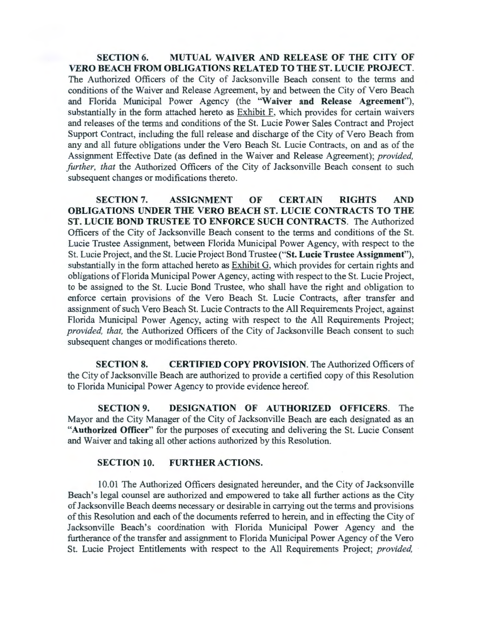**SECTION 6. MUTUAL WAIVER AND RELEASE OF THE CITY OF VERO BEACH FROM OBLIGATIONS RELATED TO THE ST. LUCIE PROJECT.**  The Authorized Officers of the City of Jacksonville Beach consent to the terms and conditions of the Waiver and Release Agreement, by and between the City of Vero Beach and Florida Municipal Power Agency (the **"Waiver and Release Agreement"),**  substantially in the form attached hereto as Exhibit F, which provides for certain waivers and releases of the terms and conditions of the St. Lucie Power Sales Contract and Project Support Contract, including the full release and discharge of the City of Vero Beach from any and all future obligations under the Vero Beach St. Lucie Contracts, on and as of the Assignment Effective Date (as defined in the Waiver and Release Agreement); *provided, further, that the Authorized Officers of the City of Jacksonville Beach consent to such* subsequent changes or modifications thereto.

**SECTION 7. ASSIGNMENT OF CERTAIN RIGHTS AND OBLIGATIONS UNDER THE VERO BEACH ST. LUCIE CONTRACTS TO THE ST. LUCIE BOND TRUSTEE TO ENFORCE SUCH CONTRACTS.** The Authorized Officers of the City of Jacksonville Beach consent to the terms and conditions of the St. Lucie Trustee Assignment, between Florida Municipal Power Agency, with respect to the St. Lucie Project, and the St. Lucie Project Bond Trustee **("St. Lucie Trustee Assignment"),**  substantially in the form attached hereto as Exhibit G, which provides for certain rights and obligations of Florida Municipal Power Agency, acting with respect to the St. Lucie Project, to be assigned to the St. Lucie Bond Trustee, who shall have the right and obligation to enforce certain provisions of the Vero Beach St. Lucie Contracts, after transfer and assignment of such Vero Beach St. Lucie Contracts to the All Requirements Project, against Florida Municipal Power Agency, acting with respect to the All Requirements Project; *provided, that,* the Authorized Officers of the City of Jacksonville Beach consent to such subsequent changes or modifications thereto.

**SECTION 8. CERTIFIED COPY PROVISION.** The Authorized Officers of the City of Jacksonville Beach are authorized to provide a certified copy of this Resolution to Florida Municipal Power Agency to provide evidence hereof.

**SECTION9. DESIGNATION OF AUTHORIZED OFFICERS.** The Mayor and the City Manager of the City of Jacksonville Beach are each designated as an **"Authorized Officer"** for the purposes of executing and delivering the St. Lucie Consent and Waiver and taking all other actions authorized by this Resolution.

## **SECTION 10. FURTHER ACTIONS.**

I 0.01 The Authorized Officers designated hereunder, and the City of Jacksonville Beach's legal counsel are authorized and empowered to take all further actions as the City of Jacksonville Beach deems necessary or desirable in carrying out the terms and provisions of this Resolution and each of the documents referred to herein, and in effecting the City of Jacksonville Beach's coordination with Florida Municipal Power Agency and the furtherance of the transfer and assignment to Florida Municipal Power Agency of the Vero St. Lucie Project Entitlements with respect to the All Requirements Project; *provided,*